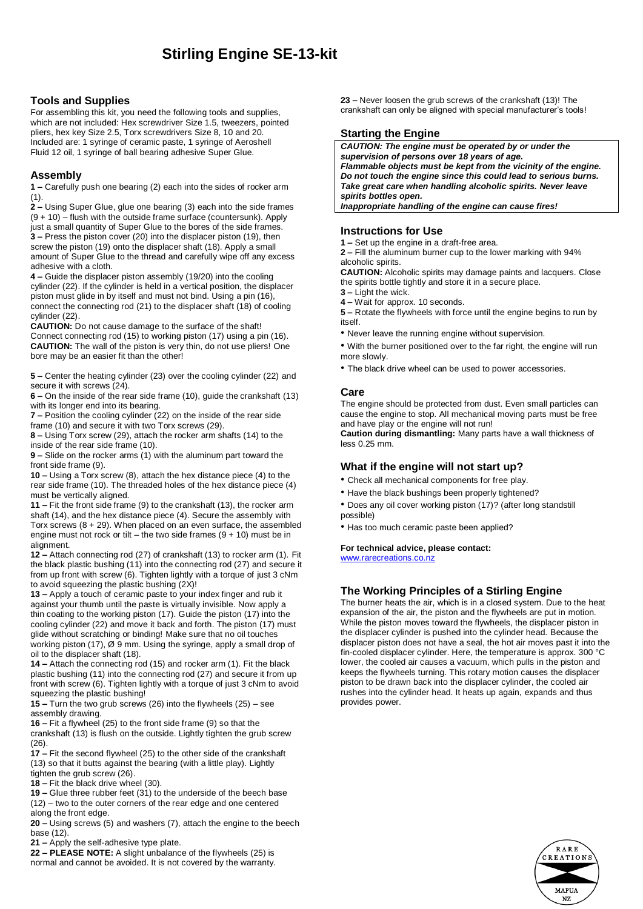## **Stirling Engine SE-13-kit**

#### **Tools and Supplies**

For assembling this kit, you need the following tools and supplies, which are not included: Hex screwdriver Size 1.5, tweezers, pointed pliers, hex key Size 2.5, Torx screwdrivers Size 8, 10 and 20. Included are: 1 syringe of ceramic paste, 1 syringe of Aeroshell Fluid 12 oil, 1 syringe of ball bearing adhesive Super Glue.

#### **Assembly**

**1 –** Carefully push one bearing (2) each into the sides of rocker arm (1).

**2 –** Using Super Glue, glue one bearing (3) each into the side frames (9 + 10) – flush with the outside frame surface (countersunk). Apply just a small quantity of Super Glue to the bores of the side frames. **3 –** Press the piston cover (20) into the displacer piston (19), then screw the piston (19) onto the displacer shaft (18). Apply a small amount of Super Glue to the thread and carefully wipe off any excess adhesive with a cloth.

**4 –** Guide the displacer piston assembly (19/20) into the cooling cylinder (22). If the cylinder is held in a vertical position, the displacer piston must glide in by itself and must not bind. Using a pin (16), connect the connecting rod (21) to the displacer shaft (18) of cooling cylinder (22).

**CAUTION:** Do not cause damage to the surface of the shaft! Connect connecting rod (15) to working piston (17) using a pin (16). **CAUTION:** The wall of the piston is very thin, do not use pliers! One bore may be an easier fit than the other!

**5 –** Center the heating cylinder (23) over the cooling cylinder (22) and secure it with screws  $(24)$ .

**6 –** On the inside of the rear side frame (10), guide the crankshaft (13) with its longer end into its bearing.

**7 –** Position the cooling cylinder (22) on the inside of the rear side frame (10) and secure it with two Torx screws (29).

**8 –** Using Torx screw (29), attach the rocker arm shafts (14) to the inside of the rear side frame (10).

**9 –** Slide on the rocker arms (1) with the aluminum part toward the front side frame (9).

**10 –** Using a Torx screw (8), attach the hex distance piece (4) to the rear side frame (10). The threaded holes of the hex distance piece (4) must be vertically aligned.

**11 –** Fit the front side frame (9) to the crankshaft (13), the rocker arm shaft (14), and the hex distance piece (4). Secure the assembly with Torx screws  $(8 + 29)$ . When placed on an even surface, the assembled engine must not rock or tilt – the two side frames  $(9 + 10)$  must be in alignment.

**12 –** Attach connecting rod (27) of crankshaft (13) to rocker arm (1). Fit the black plastic bushing (11) into the connecting rod (27) and secure it from up front with screw (6). Tighten lightly with a torque of just 3 cNm to avoid squeezing the plastic bushing (2X)!

**13 –** Apply a touch of ceramic paste to your index finger and rub it against your thumb until the paste is virtually invisible. Now apply a thin coating to the working piston (17). Guide the piston (17) into the cooling cylinder (22) and move it back and forth. The piston (17) must glide without scratching or binding! Make sure that no oil touches working piston (17), Ø 9 mm. Using the syringe, apply a small drop of oil to the displacer shaft (18).

**14 –** Attach the connecting rod (15) and rocker arm (1). Fit the black plastic bushing (11) into the connecting rod (27) and secure it from up front with screw (6). Tighten lightly with a torque of just 3 cNm to avoid squeezing the plastic bushing!

**15 –** Turn the two grub screws (26) into the flywheels (25) – see assembly drawing.

**16 –** Fit a flywheel (25) to the front side frame (9) so that the crankshaft (13) is flush on the outside. Lightly tighten the grub screw (26).

**17 –** Fit the second flywheel (25) to the other side of the crankshaft (13) so that it butts against the bearing (with a little play). Lightly tighten the grub screw (26).

**18 –** Fit the black drive wheel (30).

**19 –** Glue three rubber feet (31) to the underside of the beech base (12) – two to the outer corners of the rear edge and one centered along the front edge.

**20 –** Using screws (5) and washers (7), attach the engine to the beech base (12).

**21 –** Apply the self-adhesive type plate.

**22 – PLEASE NOTE:** A slight unbalance of the flywheels (25) is normal and cannot be avoided. It is not covered by the warranty. **23 –** Never loosen the grub screws of the crankshaft (13)! The crankshaft can only be aligned with special manufacturer's tools!

#### **Starting the Engine**

*CAUTION: The engine must be operated by or under the supervision of persons over 18 years of age. Flammable objects must be kept from the vicinity of the engine. Do not touch the engine since this could lead to serious burns. Take great care when handling alcoholic spirits. Never leave spirits bottles open. Inappropriate handling of the engine can cause fires!*

### **Instructions for Use**

**1 –** Set up the engine in a draft-free area.

**2 –** Fill the aluminum burner cup to the lower marking with 94% alcoholic spirits.

**CAUTION:** Alcoholic spirits may damage paints and lacquers. Close the spirits bottle tightly and store it in a secure place.

**3 –** Light the wick.

**4 –** Wait for approx. 10 seconds.

**5 –** Rotate the flywheels with force until the engine begins to run by itself.

• Never leave the running engine without supervision.

• With the burner positioned over to the far right, the engine will run more slowly.

• The black drive wheel can be used to power accessories.

#### **Care**

The engine should be protected from dust. Even small particles can cause the engine to stop. All mechanical moving parts must be free and have play or the engine will not run!

**Caution during dismantling:** Many parts have a wall thickness of less 0.25 mm.

#### **What if the engine will not start up?**

• Check all mechanical components for free play.

- Have the black bushings been properly tightened?
- Does any oil cover working piston (17)? (after long standstill possible)
- Has too much ceramic paste been applied?

#### **For technical advice, please contact:**

[www.rarecreations.co.nz](http://www.rarecreations.co.nz/)

#### **The Working Principles of a Stirling Engine**

The burner heats the air, which is in a closed system. Due to the heat expansion of the air, the piston and the flywheels are put in motion. While the piston moves toward the flywheels, the displacer piston in the displacer cylinder is pushed into the cylinder head. Because the displacer piston does not have a seal, the hot air moves past it into the fin-cooled displacer cylinder. Here, the temperature is approx. 300 °C lower, the cooled air causes a vacuum, which pulls in the piston and keeps the flywheels turning. This rotary motion causes the displacer piston to be drawn back into the displacer cylinder, the cooled air rushes into the cylinder head. It heats up again, expands and thus provides power.